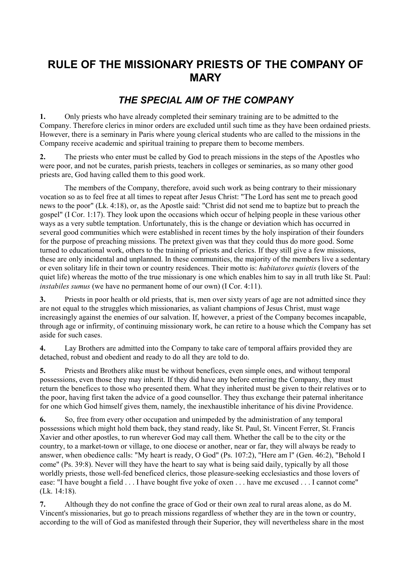# **RULE OF THE MISSIONARY PRIESTS OF THE COMPANY OF MARY**

## *THE SPECIAL AIM OF THE COMPANY*

**1.** Only priests who have already completed their seminary training are to be admitted to the Company. Therefore clerics in minor orders are excluded until such time as they have been ordained priests. However, there is a seminary in Paris where young clerical students who are called to the missions in the Company receive academic and spiritual training to prepare them to become members.

**2.** The priests who enter must be called by God to preach missions in the steps of the Apostles who were poor, and not be curates, parish priests, teachers in colleges or seminaries, as so many other good priests are, God having called them to this good work.

 The members of the Company, therefore, avoid such work as being contrary to their missionary vocation so as to feel free at all times to repeat after Jesus Christ: "The Lord has sent me to preach good news to the poor" (Lk. 4:18), or, as the Apostle said: "Christ did not send me to baptize but to preach the gospel" (I Cor. 1:17). They look upon the occasions which occur of helping people in these various other ways as a very subtle temptation. Unfortunately, this is the change or deviation which has occurred in several good communities which were established in recent times by the holy inspiration of their founders for the purpose of preaching missions. The pretext given was that they could thus do more good. Some turned to educational work, others to the training of priests and clerics. If they still give a few missions, these are only incidental and unplanned. In these communities, the majority of the members live a sedentary or even solitary life in their town or country residences. Their motto is: *habitatores quietis* (lovers of the quiet life) whereas the motto of the true missionary is one which enables him to say in all truth like St. Paul: *instabiles sumus* (we have no permanent home of our own) (I Cor. 4:11).

**3.** Priests in poor health or old priests, that is, men over sixty years of age are not admitted since they are not equal to the struggles which missionaries, as valiant champions of Jesus Christ, must wage increasingly against the enemies of our salvation. If, however, a priest of the Company becomes incapable, through age or infirmity, of continuing missionary work, he can retire to a house which the Company has set aside for such cases.

**4.** Lay Brothers are admitted into the Company to take care of temporal affairs provided they are detached, robust and obedient and ready to do all they are told to do.

**5.** Priests and Brothers alike must be without benefices, even simple ones, and without temporal possessions, even those they may inherit. If they did have any before entering the Company, they must return the benefices to those who presented them. What they inherited must be given to their relatives or to the poor, having first taken the advice of a good counsellor. They thus exchange their paternal inheritance for one which God himself gives them, namely, the inexhaustible inheritance of his divine Providence.

**6.** So, free from every other occupation and unimpeded by the administration of any temporal possessions which might hold them back, they stand ready, like St. Paul, St. Vincent Ferrer, St. Francis Xavier and other apostles, to run wherever God may call them. Whether the call be to the city or the country, to a market-town or village, to one diocese or another, near or far, they will always be ready to answer, when obedience calls: "My heart is ready, O God" (Ps. 107:2), "Here am l" (Gen. 46:2), "Behold I come" (Ps. 39:8). Never will they have the heart to say what is being said daily, typically by all those worldly priests, those well-fed beneficed clerics, those pleasure-seeking ecclesiastics and those lovers of ease: "I have bought a field . . . I have bought five yoke of oxen . . . have me excused . . . I cannot come" (Lk. 14:18).

**7.** Although they do not confine the grace of God or their own zeal to rural areas alone, as do M. Vincent's missionaries, but go to preach missions regardless of whether they are in the town or country, according to the will of God as manifested through their Superior, they will nevertheless share in the most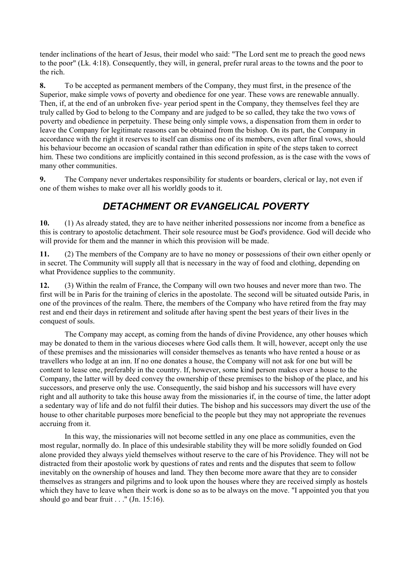tender inclinations of the heart of Jesus, their model who said: "The Lord sent me to preach the good news to the poor" (Lk. 4:18). Consequently, they will, in general, prefer rural areas to the towns and the poor to the rich.

**8.** To be accepted as permanent members of the Company, they must first, in the presence of the Superior, make simple vows of poverty and obedience for one year. These vows are renewable annually. Then, if, at the end of an unbroken five- year period spent in the Company, they themselves feel they are truly called by God to belong to the Company and are judged to be so called, they take the two vows of poverty and obedience in perpetuity. These being only simple vows, a dispensation from them in order to leave the Company for legitimate reasons can be obtained from the bishop. On its part, the Company in accordance with the right it reserves to itself can dismiss one of its members, even after final vows, should his behaviour become an occasion of scandal rather than edification in spite of the steps taken to correct him. These two conditions are implicitly contained in this second profession, as is the case with the vows of many other communities.

**9.** The Company never undertakes responsibility for students or boarders, clerical or lay, not even if one of them wishes to make over all his worldly goods to it.

### *DETACHMENT OR EVANGELICAL POVERTY*

**10.** (1) As already stated, they are to have neither inherited possessions nor income from a benefice as this is contrary to apostolic detachment. Their sole resource must be God's providence. God will decide who will provide for them and the manner in which this provision will be made.

**11.** (2) The members of the Company are to have no money or possessions of their own either openly or in secret. The Community will supply all that is necessary in the way of food and clothing, depending on what Providence supplies to the community.

**12.** (3) Within the realm of France, the Company will own two houses and never more than two. The first will be in Paris for the training of clerics in the apostolate. The second will be situated outside Paris, in one of the provinces of the realm. There, the members of the Company who have retired from the fray may rest and end their days in retirement and solitude after having spent the best years of their lives in the conquest of souls.

 The Company may accept, as coming from the hands of divine Providence, any other houses which may be donated to them in the various dioceses where God calls them. It will, however, accept only the use of these premises and the missionaries will consider themselves as tenants who have rented a house or as travellers who lodge at an inn. If no one donates a house, the Company will not ask for one but will be content to lease one, preferably in the country. If, however, some kind person makes over a house to the Company, the latter will by deed convey the ownership of these premises to the bishop of the place, and his successors, and preserve only the use. Consequently, the said bishop and his successors will have every right and all authority to take this house away from the missionaries if, in the course of time, the latter adopt a sedentary way of life and do not fulfil their duties. The bishop and his successors may divert the use of the house to other charitable purposes more beneficial to the people but they may not appropriate the revenues accruing from it.

 In this way, the missionaries will not become settled in any one place as communities, even the most regular, normally do. In place of this undesirable stability they will be more solidly founded on God alone provided they always yield themselves without reserve to the care of his Providence. They will not be distracted from their apostolic work by questions of rates and rents and the disputes that seem to follow inevitably on the ownership of houses and land. They then become more aware that they are to consider themselves as strangers and pilgrims and to look upon the houses where they are received simply as hostels which they have to leave when their work is done so as to be always on the move. "I appointed you that you should go and bear fruit . . ." (Jn. 15:16).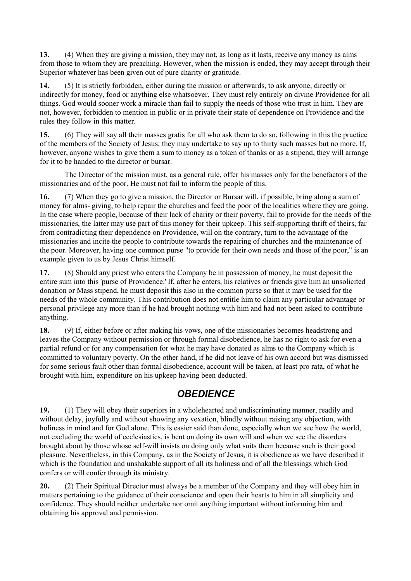**13.** (4) When they are giving a mission, they may not, as long as it lasts, receive any money as alms from those to whom they are preaching. However, when the mission is ended, they may accept through their Superior whatever has been given out of pure charity or gratitude.

**14.** (5) It is strictly forbidden, either during the mission or afterwards, to ask anyone, directly or indirectly for money, food or anything else whatsoever. They must rely entirely on divine Providence for all things. God would sooner work a miracle than fail to supply the needs of those who trust in him. They are not, however, forbidden to mention in public or in private their state of dependence on Providence and the rules they follow in this matter.

**15.** (6) They will say all their masses gratis for all who ask them to do so, following in this the practice of the members of the Society of Jesus; they may undertake to say up to thirty such masses but no more. If, however, anyone wishes to give them a sum to money as a token of thanks or as a stipend, they will arrange for it to be handed to the director or bursar.

 The Director of the mission must, as a general rule, offer his masses only for the benefactors of the missionaries and of the poor. He must not fail to inform the people of this.

**16.** (7) When they go to give a mission, the Director or Bursar will, if possible, bring along a sum of money for alms- giving, to help repair the churches and feed the poor of the localities where they are going. In the case where people, because of their lack of charity or their poverty, fail to provide for the needs of the missionaries, the latter may use part of this money for their upkeep. This self-supporting thrift of theirs, far from contradicting their dependence on Providence, will on the contrary, turn to the advantage of the missionaries and incite the people to contribute towards the repairing of churches and the maintenance of the poor. Moreover, having one common purse "to provide for their own needs and those of the poor," is an example given to us by Jesus Christ himself.

**17.** (8) Should any priest who enters the Company be in possession of money, he must deposit the entire sum into this 'purse of Providence.' If, after he enters, his relatives or friends give him an unsolicited donation or Mass stipend, he must deposit this also in the common purse so that it may be used for the needs of the whole community. This contribution does not entitle him to claim any particular advantage or personal privilege any more than if he had brought nothing with him and had not been asked to contribute anything.

**18.** (9) If, either before or after making his vows, one of the missionaries becomes headstrong and leaves the Company without permission or through formal disobedience, he has no right to ask for even a partial refund or for any compensation for what he may have donated as alms to the Company which is committed to voluntary poverty. On the other hand, if he did not leave of his own accord but was dismissed for some serious fault other than formal disobedience, account will be taken, at least pro rata, of what he brought with him, expenditure on his upkeep having been deducted.

#### *OBEDIENCE*

**19.** (1) They will obey their superiors in a wholehearted and undiscriminating manner, readily and without delay, joyfully and without showing any vexation, blindly without raising any objection, with holiness in mind and for God alone. This is easier said than done, especially when we see how the world, not excluding the world of ecclesiastics, is bent on doing its own will and when we see the disorders brought about by those whose self-will insists on doing only what suits them because such is their good pleasure. Nevertheless, in this Company, as in the Society of Jesus, it is obedience as we have described it which is the foundation and unshakable support of all its holiness and of all the blessings which God confers or will confer through its ministry.

**20.** (2) Their Spiritual Director must always be a member of the Company and they will obey him in matters pertaining to the guidance of their conscience and open their hearts to him in all simplicity and confidence. They should neither undertake nor omit anything important without informing him and obtaining his approval and permission.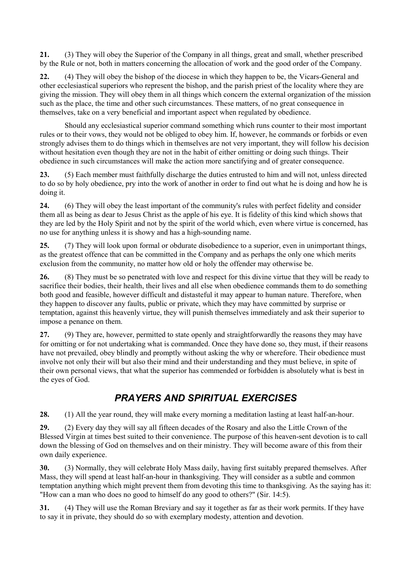**21.** (3) They will obey the Superior of the Company in all things, great and small, whether prescribed by the Rule or not, both in matters concerning the allocation of work and the good order of the Company.

**22.** (4) They will obey the bishop of the diocese in which they happen to be, the Vicars-General and other ecclesiastical superiors who represent the bishop, and the parish priest of the locality where they are giving the mission. They will obey them in all things which concern the external organization of the mission such as the place, the time and other such circumstances. These matters, of no great consequence in themselves, take on a very beneficial and important aspect when regulated by obedience.

 Should any ecclesiastical superior command something which runs counter to their most important rules or to their vows, they would not be obliged to obey him. If, however, he commands or forbids or even strongly advises them to do things which in themselves are not very important, they will follow his decision without hesitation even though they are not in the habit of either omitting or doing such things. Their obedience in such circumstances will make the action more sanctifying and of greater consequence.

**23.** (5) Each member must faithfully discharge the duties entrusted to him and will not, unless directed to do so by holy obedience, pry into the work of another in order to find out what he is doing and how he is doing it.

**24.** (6) They will obey the least important of the community's rules with perfect fidelity and consider them all as being as dear to Jesus Christ as the apple of his eye. It is fidelity of this kind which shows that they are led by the Holy Spirit and not by the spirit of the world which, even where virtue is concerned, has no use for anything unless it is showy and has a high-sounding name.

**25.** (7) They will look upon formal or obdurate disobedience to a superior, even in unimportant things, as the greatest offence that can be committed in the Company and as perhaps the only one which merits exclusion from the community, no matter how old or holy the offender may otherwise be.

**26.** (8) They must be so penetrated with love and respect for this divine virtue that they will be ready to sacrifice their bodies, their health, their lives and all else when obedience commands them to do something both good and feasible, however difficult and distasteful it may appear to human nature. Therefore, when they happen to discover any faults, public or private, which they may have committed by surprise or temptation, against this heavenly virtue, they will punish themselves immediately and ask their superior to impose a penance on them.

**27.** (9) They are, however, permitted to state openly and straightforwardly the reasons they may have for omitting or for not undertaking what is commanded. Once they have done so, they must, if their reasons have not prevailed, obey blindly and promptly without asking the why or wherefore. Their obedience must involve not only their will but also their mind and their understanding and they must believe, in spite of their own personal views, that what the superior has commended or forbidden is absolutely what is best in the eyes of God.

# *PRAYERS AND SPIRITUAL EXERCISES*

**28.** (1) All the year round, they will make every morning a meditation lasting at least half-an-hour.

**29.** (2) Every day they will say all fifteen decades of the Rosary and also the Little Crown of the Blessed Virgin at times best suited to their convenience. The purpose of this heaven-sent devotion is to call down the blessing of God on themselves and on their ministry. They will become aware of this from their own daily experience.

**30.** (3) Normally, they will celebrate Holy Mass daily, having first suitably prepared themselves. After Mass, they will spend at least half-an-hour in thanksgiving. They will consider as a subtle and common temptation anything which might prevent them from devoting this time to thanksgiving. As the saying has it: "How can a man who does no good to himself do any good to others?" (Sir. 14:5).

**31.** (4) They will use the Roman Breviary and say it together as far as their work permits. If they have to say it in private, they should do so with exemplary modesty, attention and devotion.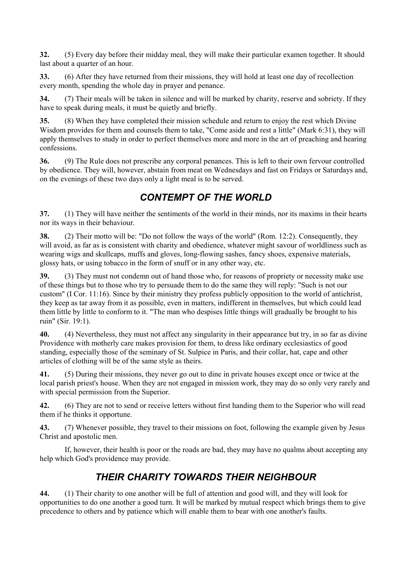**32.** (5) Every day before their midday meal, they will make their particular examen together. It should last about a quarter of an hour.

**33.** (6) After they have returned from their missions, they will hold at least one day of recollection every month, spending the whole day in prayer and penance.

**34.** (7) Their meals will be taken in silence and will be marked by charity, reserve and sobriety. If they have to speak during meals, it must be quietly and briefly.

**35.** (8) When they have completed their mission schedule and return to enjoy the rest which Divine Wisdom provides for them and counsels them to take, "Come aside and rest a little" (Mark 6:31), they will apply themselves to study in order to perfect themselves more and more in the art of preaching and hearing confessions.

**36.** (9) The Rule does not prescribe any corporal penances. This is left to their own fervour controlled by obedience. They will, however, abstain from meat on Wednesdays and fast on Fridays or Saturdays and, on the evenings of these two days only a light meal is to be served.

### *CONTEMPT OF THE WORLD*

**37.** (1) They will have neither the sentiments of the world in their minds, nor its maxims in their hearts nor its ways in their behaviour.

**38.** (2) Their motto will be: "Do not follow the ways of the world" (Rom. 12:2). Consequently, they will avoid, as far as is consistent with charity and obedience, whatever might savour of worldliness such as wearing wigs and skullcaps, muffs and gloves, long-flowing sashes, fancy shoes, expensive materials, glossy hats, or using tobacco in the form of snuff or in any other way, etc.

**39.** (3) They must not condemn out of hand those who, for reasons of propriety or necessity make use of these things but to those who try to persuade them to do the same they will reply: "Such is not our custom" (I Cor. 11:16). Since by their ministry they profess publicly opposition to the world of antichrist, they keep as tar away from it as possible, even in matters, indifferent in themselves, but which could lead them little by little to conform to it. "The man who despises little things will gradually be brought to his ruin" (Sir. 19:1).

**40.** (4) Nevertheless, they must not affect any singularity in their appearance but try, in so far as divine Providence with motherly care makes provision for them, to dress like ordinary ecclesiastics of good standing, especially those of the seminary of St. Sulpice in Paris, and their collar, hat, cape and other articles of clothing will be of the same style as theirs.

**41.** (5) During their missions, they never go out to dine in private houses except once or twice at the local parish priest's house. When they are not engaged in mission work, they may do so only very rarely and with special permission from the Superior.

**42.** (6) They are not to send or receive letters without first handing them to the Superior who will read them if he thinks it opportune.

**43.** (7) Whenever possible, they travel to their missions on foot, following the example given by Jesus Christ and apostolic men.

 If, however, their health is poor or the roads are bad, they may have no qualms about accepting any help which God's providence may provide.

# *THEIR CHARITY TOWARDS THEIR NEIGHBOUR*

**44.** (1) Their charity to one another will be full of attention and good will, and they will look for opportunities to do one another a good turn. It will be marked by mutual respect which brings them to give precedence to others and by patience which will enable them to bear with one another's faults.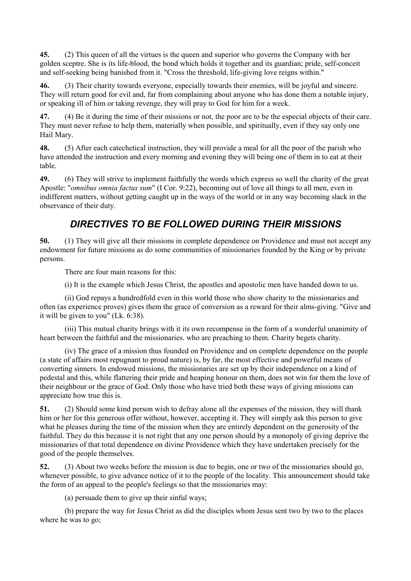**45.** (2) This queen of all the virtues is the queen and superior who governs the Company with her golden sceptre. She is its life-blood, the bond which holds it together and its guardian; pride, self-conceit and self-seeking being banished from it. "Cross the threshold, life-giving love reigns within."

**46.** (3) Their charity towards everyone, especially towards their enemies, will be joyful and sincere. They will return good for evil and, far from complaining about anyone who has done them a notable injury, or speaking ill of him or taking revenge, they will pray to God for him for a week.

**47.** (4) Be it during the time of their missions or not, the poor are to be the especial objects of their care. They must never refuse to help them, materially when possible, and spiritually, even if they say only one Hail Mary.

**48.** (5) After each catechetical instruction, they will provide a meal for all the poor of the parish who have attended the instruction and every morning and evening they will being one of them in to eat at their table.

**49.** (6) They will strive to implement faithfully the words which express so well the charity of the great Apostle: "*omnibus omnia factus sum*" (I Cor. 9:22), becoming out of love all things to all men, even in indifferent matters, without getting caught up in the ways of the world or in any way becoming slack in the observance of their duty.

# *DIRECTIVES TO BE FOLLOWED DURING THEIR MISSIONS*

**50.** (1) They will give all their missions in complete dependence on Providence and must not accept any endowment for future missions as do some communities of missionaries founded by the King or by private persons.

There are four main reasons for this:

(i) It is the example which Jesus Christ, the apostles and apostolic men have handed down to us.

 (ii) God repays a hundredfold even in this world those who show charity to the missionaries and often (as experience proves) gives them the grace of conversion as a reward for their alms-giving. "Give and it will be given to you" (Lk. 6:38).

 (iii) This mutual charity brings with it its own recompense in the form of a wonderful unanimity of heart between the faithful and the missionaries. who are preaching to them. Charity begets charity.

 (iv) The grace of a mission thus founded on Providence and on complete dependence on the people (a state of affairs most repugnant to proud nature) is, by far, the most effective and powerful means of converting sinners. In endowed missions, the missionaries are set up by their independence on a kind of pedestal and this, while flattering their pride and heaping honour on them, does not win for them the love of their neighbour or the grace of God. Only those who have tried both these ways of giving missions can appreciate how true this is.

**51.** (2) Should some kind person wish to defray alone all the expenses of the mission, they will thank him or her for this generous offer without, however, accepting it. They will simply ask this person to give what he pleases during the time of the mission when they are entirely dependent on the generosity of the faithful. They do this because it is not right that any one person should by a monopoly of giving deprive the missionaries of that total dependence on divine Providence which they have undertaken precisely for the good of the people themselves.

**52.** (3) About two weeks before the mission is due to begin, one or two of the missionaries should go, whenever possible, to give advance notice of it to the people of the locality. This announcement should take the form of an appeal to the people's feelings so that the missionaries may:

(a) persuade them to give up their sinful ways;

 (b) prepare the way for Jesus Christ as did the disciples whom Jesus sent two by two to the places where he was to go;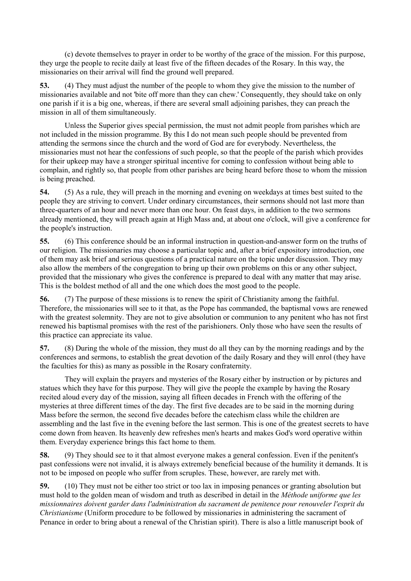(c) devote themselves to prayer in order to be worthy of the grace of the mission. For this purpose, they urge the people to recite daily at least five of the fifteen decades of the Rosary. In this way, the missionaries on their arrival will find the ground well prepared.

**53.** (4) They must adjust the number of the people to whom they give the mission to the number of missionaries available and not 'bite off more than they can chew.' Consequently, they should take on only one parish if it is a big one, whereas, if there are several small adjoining parishes, they can preach the mission in all of them simultaneously.

 Unless the Superior gives special permission, the must not admit people from parishes which are not included in the mission programme. By this I do not mean such people should be prevented from attending the sermons since the church and the word of God are for everybody. Nevertheless, the missionaries must not hear the confessions of such people, so that the people of the parish which provides for their upkeep may have a stronger spiritual incentive for coming to confession without being able to complain, and rightly so, that people from other parishes are being heard before those to whom the mission is being preached.

**54.** (5) As a rule, they will preach in the morning and evening on weekdays at times best suited to the people they are striving to convert. Under ordinary circumstances, their sermons should not last more than three-quarters of an hour and never more than one hour. On feast days, in addition to the two sermons already mentioned, they will preach again at High Mass and, at about one o'clock, will give a conference for the people's instruction.

**55.** (6) This conference should be an informal instruction in question-and-answer form on the truths of our religion. The missionaries may choose a particular topic and, after a brief expository introduction, one of them may ask brief and serious questions of a practical nature on the topic under discussion. They may also allow the members of the congregation to bring up their own problems on this or any other subject, provided that the missionary who gives the conference is prepared to deal with any matter that may arise. This is the boldest method of all and the one which does the most good to the people.

**56.** (7) The purpose of these missions is to renew the spirit of Christianity among the faithful. Therefore, the missionaries will see to it that, as the Pope has commanded, the baptismal vows are renewed with the greatest solemnity. They are not to give absolution or communion to any penitent who has not first renewed his baptismal promises with the rest of the parishioners. Only those who have seen the results of this practice can appreciate its value.

**57.** (8) During the whole of the mission, they must do all they can by the morning readings and by the conferences and sermons, to establish the great devotion of the daily Rosary and they will enrol (they have the faculties for this) as many as possible in the Rosary confraternity.

 They will explain the prayers and mysteries of the Rosary either by instruction or by pictures and statues which they have for this purpose. They will give the people the example by having the Rosary recited aloud every day of the mission, saying all fifteen decades in French with the offering of the mysteries at three different times of the day. The first five decades are to be said in the morning during Mass before the sermon, the second five decades before the catechism class while the children are assembling and the last five in the evening before the last sermon. This is one of the greatest secrets to have come down from heaven. Its heavenly dew refreshes men's hearts and makes God's word operative within them. Everyday experience brings this fact home to them.

**58.** (9) They should see to it that almost everyone makes a general confession. Even if the penitent's past confessions were not invalid, it is always extremely beneficial because of the humility it demands. It is not to be imposed on people who suffer from scruples. These, however, are rarely met with.

**59.** (10) They must not be either too strict or too lax in imposing penances or granting absolution but must hold to the golden mean of wisdom and truth as described in detail in the *Méthode uniforme que les missionnaires doivent garder dans l'administration du sacrament de penitence pour renouveler l'esprit du Christianisme* (Uniform procedure to be followed by missionaries in administering the sacrament of Penance in order to bring about a renewal of the Christian spirit). There is also a little manuscript book of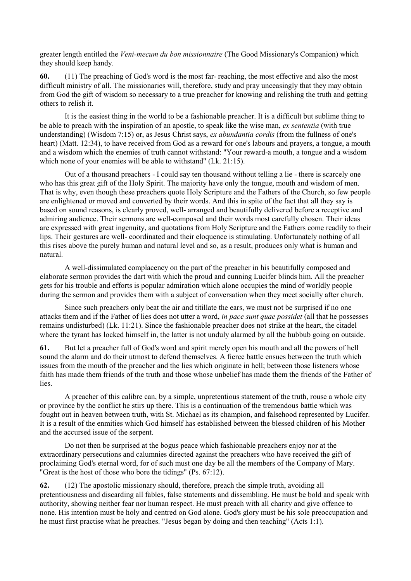greater length entitled the *Veni-mecum du bon missionnaire* (The Good Missionary's Companion) which they should keep handy.

**60.** (11) The preaching of God's word is the most far- reaching, the most effective and also the most difficult ministry of all. The missionaries will, therefore, study and pray unceasingly that they may obtain from God the gift of wisdom so necessary to a true preacher for knowing and relishing the truth and getting others to relish it.

 It is the easiest thing in the world to be a fashionable preacher. It is a difficult but sublime thing to be able to preach with the inspiration of an apostle, to speak like the wise man, *ex sententia* (with true understanding) (Wisdom 7:15) or, as Jesus Christ says, *ex abundantia cordis* (from the fullness of one's heart) (Matt. 12:34), to have received from God as a reward for one's labours and prayers, a tongue, a mouth and a wisdom which the enemies of truth cannot withstand: "Your reward-a mouth, a tongue and a wisdom which none of your enemies will be able to withstand" (Lk. 21:15).

 Out of a thousand preachers - I could say ten thousand without telling a lie - there is scarcely one who has this great gift of the Holy Spirit. The majority have only the tongue, mouth and wisdom of men. That is why, even though these preachers quote Holy Scripture and the Fathers of the Church, so few people are enlightened or moved and converted by their words. And this in spite of the fact that all they say is based on sound reasons, is clearly proved, well- arranged and beautifully delivered before a receptive and admiring audience. Their sermons are well-composed and their words most carefully chosen. Their ideas are expressed with great ingenuity, and quotations from Holy Scripture and the Fathers come readily to their lips. Their gestures are well- coordinated and their eloquence is stimulating. Unfortunately nothing of all this rises above the purely human and natural level and so, as a result, produces only what is human and natural.

 A well-dissimulated complacency on the part of the preacher in his beautifully composed and elaborate sermon provides the dart with which the proud and cunning Lucifer blinds him. All the preacher gets for his trouble and efforts is popular admiration which alone occupies the mind of worldly people during the sermon and provides them with a subject of conversation when they meet socially after church.

 Since such preachers only beat the air and titillate the ears, we must not be surprised if no one attacks them and if the Father of lies does not utter a word, *in pace sunt quae possidet* (all that he possesses remains undisturbed) (Lk. 11:21). Since the fashionable preacher does not strike at the heart, the citadel where the tyrant has locked himself in, the latter is not unduly alarmed by all the hubbub going on outside.

**61.** But let a preacher full of God's word and spirit merely open his mouth and all the powers of hell sound the alarm and do their utmost to defend themselves. A fierce battle ensues between the truth which issues from the mouth of the preacher and the lies which originate in hell; between those listeners whose faith has made them friends of the truth and those whose unbelief has made them the friends of the Father of lies.

 A preacher of this calibre can, by a simple, unpretentious statement of the truth, rouse a whole city or province by the conflict he stirs up there. This is a continuation of the tremendous battle which was fought out in heaven between truth, with St. Michael as its champion, and falsehood represented by Lucifer. It is a result of the enmities which God himself has established between the blessed children of his Mother and the accursed issue of the serpent.

 Do not then be surprised at the bogus peace which fashionable preachers enjoy nor at the extraordinary persecutions and calumnies directed against the preachers who have received the gift of proclaiming God's eternal word, for of such must one day be all the members of the Company of Mary. "Great is the host of those who bore the tidings" (Ps. 67:12).

**62.** (12) The apostolic missionary should, therefore, preach the simple truth, avoiding all pretentiousness and discarding all fables, false statements and dissembling. He must be bold and speak with authority, showing neither fear nor human respect. He must preach with all charity and give offence to none. His intention must be holy and centred on God alone. God's glory must be his sole preoccupation and he must first practise what he preaches. "Jesus began by doing and then teaching" (Acts 1:1).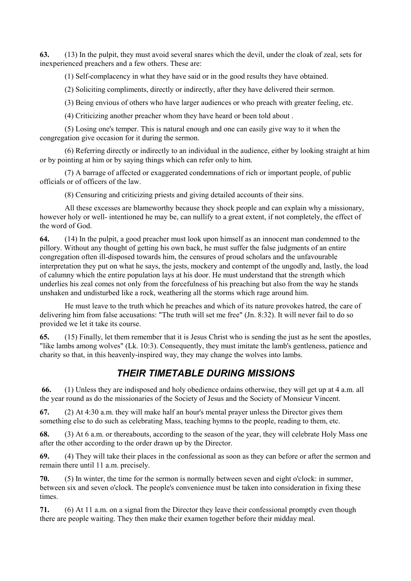**63.** (13) In the pulpit, they must avoid several snares which the devil, under the cloak of zeal, sets for inexperienced preachers and a few others. These are:

(1) Self-complacency in what they have said or in the good results they have obtained.

(2) Soliciting compliments, directly or indirectly, after they have delivered their sermon.

(3) Being envious of others who have larger audiences or who preach with greater feeling, etc.

(4) Criticizing another preacher whom they have heard or been told about .

 (5) Losing one's temper. This is natural enough and one can easily give way to it when the congregation give occasion for it during the sermon.

 (6) Referring directly or indirectly to an individual in the audience, either by looking straight at him or by pointing at him or by saying things which can refer only to him.

 (7) A barrage of affected or exaggerated condemnations of rich or important people, of public officials or of officers of the law.

(8) Censuring and criticizing priests and giving detailed accounts of their sins.

 All these excesses are blameworthy because they shock people and can explain why a missionary, however holy or well- intentioned he may be, can nullify to a great extent, if not completely, the effect of the word of God.

**64.** (14) In the pulpit, a good preacher must look upon himself as an innocent man condemned to the pillory. Without any thought of getting his own back, he must suffer the false judgments of an entire congregation often ill-disposed towards him, the censures of proud scholars and the unfavourable interpretation they put on what he says, the jests, mockery and contempt of the ungodly and, lastly, the load of calumny which the entire population lays at his door. He must understand that the strength which underlies his zeal comes not only from the forcefulness of his preaching but also from the way he stands unshaken and undisturbed like a rock, weathering all the storms which rage around him.

 He must leave to the truth which he preaches and which of its nature provokes hatred, the care of delivering him from false accusations: "The truth will set me free" (Jn. 8:32). It will never fail to do so provided we let it take its course.

**65.** (15) Finally, let them remember that it is Jesus Christ who is sending the just as he sent the apostles, "like lambs among wolves" (Lk. 10:3). Consequently, they must imitate the lamb's gentleness, patience and charity so that, in this heavenly-inspired way, they may change the wolves into lambs.

#### *THEIR TIMETABLE DURING MISSIONS*

 **66.** (1) Unless they are indisposed and holy obedience ordains otherwise, they will get up at 4 a.m. all the year round as do the missionaries of the Society of Jesus and the Society of Monsieur Vincent.

**67.** (2) At 4:30 a.m. they will make half an hour's mental prayer unless the Director gives them something else to do such as celebrating Mass, teaching hymns to the people, reading to them, etc.

**68.** (3) At 6 a.m. or thereabouts, according to the season of the year, they will celebrate Holy Mass one after the other according to the order drawn up by the Director.

**69.** (4) They will take their places in the confessional as soon as they can before or after the sermon and remain there until 11 a.m. precisely.

**70.** (5) In winter, the time for the sermon is normally between seven and eight o'clock: in summer, between six and seven o'clock. The people's convenience must be taken into consideration in fixing these times.

**71.** (6) At 11 a.m. on a signal from the Director they leave their confessional promptly even though there are people waiting. They then make their examen together before their midday meal.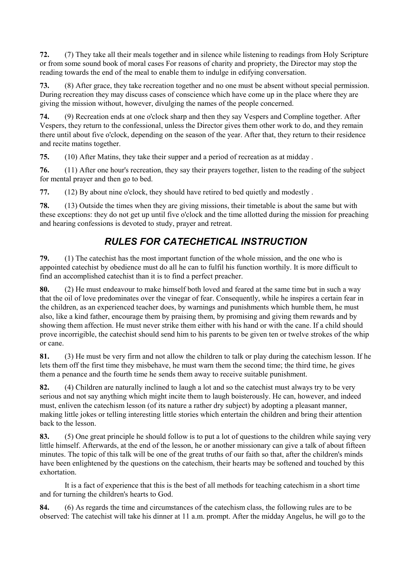**72.** (7) They take all their meals together and in silence while listening to readings from Holy Scripture or from some sound book of moral cases For reasons of charity and propriety, the Director may stop the reading towards the end of the meal to enable them to indulge in edifying conversation.

**73.** (8) After grace, they take recreation together and no one must be absent without special permission. During recreation they may discuss cases of conscience which have come up in the place where they are giving the mission without, however, divulging the names of the people concerned.

**74.** (9) Recreation ends at one o'clock sharp and then they say Vespers and Compline together. After Vespers, they return to the confessional, unless the Director gives them other work to do, and they remain there until about five o'clock, depending on the season of the year. After that, they return to their residence and recite matins together.

**75.** (10) After Matins, they take their supper and a period of recreation as at midday .

**76.** (11) After one hour's recreation, they say their prayers together, listen to the reading of the subject for mental prayer and then go to bed.

**77.** (12) By about nine o'clock, they should have retired to bed quietly and modestly .

**78.** (13) Outside the times when they are giving missions, their timetable is about the same but with these exceptions: they do not get up until five o'clock and the time allotted during the mission for preaching and hearing confessions is devoted to study, prayer and retreat.

# *RULES FOR CATECHETICAL INSTRUCTION*

**79.** (1) The catechist has the most important function of the whole mission, and the one who is appointed catechist by obedience must do all he can to fulfil his function worthily. It is more difficult to find an accomplished catechist than it is to find a perfect preacher.

**80.** (2) He must endeavour to make himself both loved and feared at the same time but in such a way that the oil of love predominates over the vinegar of fear. Consequently, while he inspires a certain fear in the children, as an experienced teacher does, by warnings and punishments which humble them, he must also, like a kind father, encourage them by praising them, by promising and giving them rewards and by showing them affection. He must never strike them either with his hand or with the cane. If a child should prove incorrigible, the catechist should send him to his parents to be given ten or twelve strokes of the whip or cane.

**81.** (3) He must be very firm and not allow the children to talk or play during the catechism lesson. If he lets them off the first time they misbehave, he must warn them the second time; the third time, he gives them a penance and the fourth time he sends them away to receive suitable punishment.

**82.** (4) Children are naturally inclined to laugh a lot and so the catechist must always try to be very serious and not say anything which might incite them to laugh boisterously. He can, however, and indeed must, enliven the catechism lesson (of its nature a rather dry subject) by adopting a pleasant manner, making little jokes or telling interesting little stories which entertain the children and bring their attention back to the lesson.

**83.** (5) One great principle he should follow is to put a lot of questions to the children while saying very little himself. Afterwards, at the end of the lesson, he or another missionary can give a talk of about fifteen minutes. The topic of this talk will be one of the great truths of our faith so that, after the children's minds have been enlightened by the questions on the catechism, their hearts may be softened and touched by this exhortation.

 It is a fact of experience that this is the best of all methods for teaching catechism in a short time and for turning the children's hearts to God.

**84.** (6) As regards the time and circumstances of the catechism class, the following rules are to be observed: The catechist will take his dinner at 11 a.m. prompt. After the midday Angelus, he will go to the